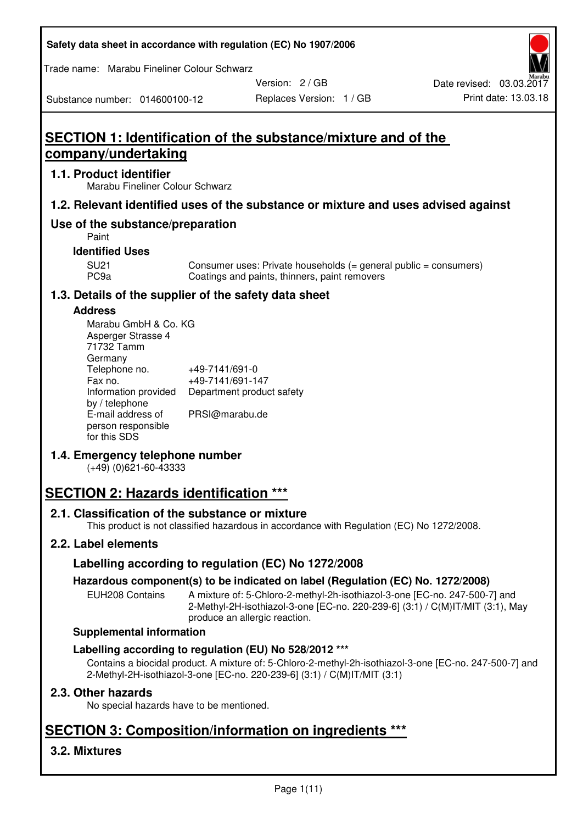| Safety data sheet in accordance with regulation (EC) No 1907/2006 |  |
|-------------------------------------------------------------------|--|
|-------------------------------------------------------------------|--|

Trade name: Marabu Fineliner Colour Schwarz

Version: 2 / GB

#### Substance number: 014600100-12

# **SECTION 1: Identification of the substance/mixture and of the company/undertaking**

#### **1.1. Product identifier**

Marabu Fineliner Colour Schwarz

## **1.2. Relevant identified uses of the substance or mixture and uses advised against**

## **Use of the substance/preparation**

Paint

## **Identified Uses**

SU21 Consumer uses: Private households (= general public = consumers)<br>PC9a Coatings and paints, thinners, paint removers Coatings and paints, thinners, paint removers

## **1.3. Details of the supplier of the safety data sheet**

#### **Address**

| Marabu GmbH & Co. KG |                           |
|----------------------|---------------------------|
| Asperger Strasse 4   |                           |
| 71732 Tamm           |                           |
| Germany              |                           |
| Telephone no.        | +49-7141/691-0            |
| Fax no.              | +49-7141/691-147          |
| Information provided | Department product safety |
| by / telephone       |                           |
| E-mail address of    | PRSI@marabu.de            |
| person responsible   |                           |
| for this SDS         |                           |

## **1.4. Emergency telephone number**

(+49) (0)621-60-43333

# **SECTION 2: Hazards identification \*\*\***

## **2.1. Classification of the substance or mixture**

This product is not classified hazardous in accordance with Regulation (EC) No 1272/2008.

## **2.2. Label elements**

## **Labelling according to regulation (EC) No 1272/2008**

## **Hazardous component(s) to be indicated on label (Regulation (EC) No. 1272/2008)**

EUH208 Contains A mixture of: 5-Chloro-2-methyl-2h-isothiazol-3-one [EC-no. 247-500-7] and 2-Methyl-2H-isothiazol-3-one [EC-no. 220-239-6] (3:1) / C(M)IT/MIT (3:1), May produce an allergic reaction.

#### **Supplemental information**

## **Labelling according to regulation (EU) No 528/2012 \*\*\***

Contains a biocidal product. A mixture of: 5-Chloro-2-methyl-2h-isothiazol-3-one [EC-no. 247-500-7] and 2-Methyl-2H-isothiazol-3-one [EC-no. 220-239-6] (3:1) / C(M)IT/MIT (3:1)

## **2.3. Other hazards**

No special hazards have to be mentioned.

# **SECTION 3: Composition/information on ingredients \*\*\***

## **3.2. Mixtures**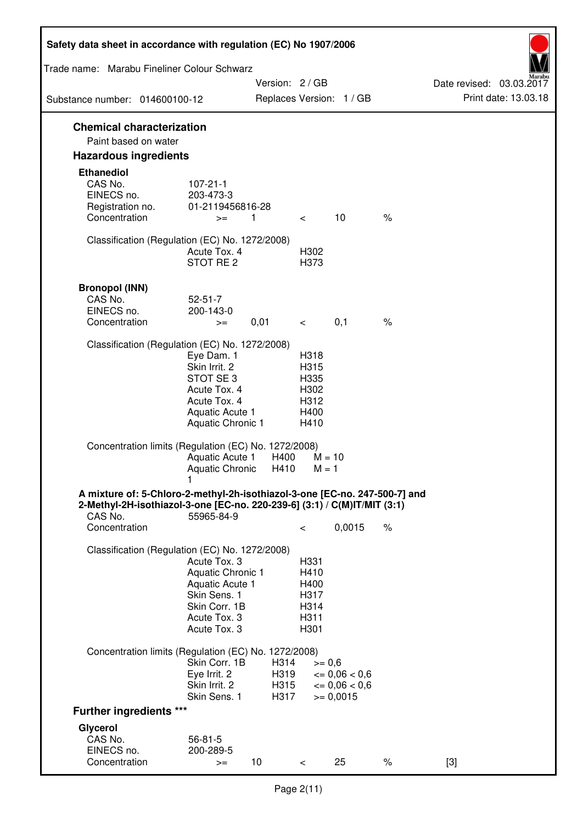| Safety data sheet in accordance with regulation (EC) No 1907/2006                                                                                                 |                                                                                                                             |                              |                                                      |                                                                   |      |                                                  |
|-------------------------------------------------------------------------------------------------------------------------------------------------------------------|-----------------------------------------------------------------------------------------------------------------------------|------------------------------|------------------------------------------------------|-------------------------------------------------------------------|------|--------------------------------------------------|
| Trade name: Marabu Fineliner Colour Schwarz                                                                                                                       |                                                                                                                             |                              |                                                      |                                                                   |      |                                                  |
| Substance number: 014600100-12                                                                                                                                    |                                                                                                                             |                              | Version: 2/GB                                        | Replaces Version: 1 / GB                                          |      | Date revised: 03.03.2017<br>Print date: 13.03.18 |
|                                                                                                                                                                   |                                                                                                                             |                              |                                                      |                                                                   |      |                                                  |
| <b>Chemical characterization</b><br>Paint based on water                                                                                                          |                                                                                                                             |                              |                                                      |                                                                   |      |                                                  |
| <b>Hazardous ingredients</b>                                                                                                                                      |                                                                                                                             |                              |                                                      |                                                                   |      |                                                  |
| <b>Ethanediol</b><br>CAS No.<br>EINECS no.<br>Registration no.<br>Concentration                                                                                   | $107 - 21 - 1$<br>203-473-3<br>01-2119456816-28<br>$>=$                                                                     | 1                            | $\lt$                                                | 10                                                                | $\%$ |                                                  |
| Classification (Regulation (EC) No. 1272/2008)                                                                                                                    | Acute Tox. 4<br>STOT RE 2                                                                                                   |                              | H302<br>H373                                         |                                                                   |      |                                                  |
| <b>Bronopol (INN)</b><br>CAS No.<br>EINECS no.<br>Concentration                                                                                                   | $52 - 51 - 7$<br>200-143-0<br>$>=$                                                                                          | 0,01                         | $\lt$ $\sim$                                         | 0,1                                                               | $\%$ |                                                  |
| Classification (Regulation (EC) No. 1272/2008)                                                                                                                    | Eye Dam. 1<br>Skin Irrit. 2<br>STOT SE <sub>3</sub><br>Acute Tox. 4<br>Acute Tox. 4<br>Aquatic Acute 1<br>Aquatic Chronic 1 |                              | H318<br>H315<br>H335<br>H302<br>H312<br>H400<br>H410 |                                                                   |      |                                                  |
| Concentration limits (Regulation (EC) No. 1272/2008)                                                                                                              | Aquatic Acute 1<br><b>Aquatic Chronic</b>                                                                                   | H400<br>H410                 |                                                      | $M = 10$<br>$M = 1$                                               |      |                                                  |
| A mixture of: 5-Chloro-2-methyl-2h-isothiazol-3-one [EC-no. 247-500-7] and<br>2-Methyl-2H-isothiazol-3-one [EC-no. 220-239-6] (3:1) / C(M)IT/MIT (3:1)<br>CAS No. | 55965-84-9                                                                                                                  |                              |                                                      |                                                                   |      |                                                  |
| Concentration                                                                                                                                                     |                                                                                                                             |                              | $\,<\,$                                              | 0,0015                                                            | $\%$ |                                                  |
| Classification (Regulation (EC) No. 1272/2008)                                                                                                                    | Acute Tox. 3<br>Aquatic Chronic 1<br>Aquatic Acute 1<br>Skin Sens. 1<br>Skin Corr. 1B<br>Acute Tox. 3<br>Acute Tox. 3       |                              | H331<br>H410<br>H400<br>H317<br>H314<br>H311<br>H301 |                                                                   |      |                                                  |
| Concentration limits (Regulation (EC) No. 1272/2008)                                                                                                              |                                                                                                                             |                              |                                                      |                                                                   |      |                                                  |
|                                                                                                                                                                   | Skin Corr. 1B<br>Eye Irrit. 2<br>Skin Irrit. 2<br>Skin Sens. 1                                                              | H314<br>H319<br>H315<br>H317 |                                                      | $>= 0,6$<br>$\leq 0.06 < 0.6$<br>$\leq 0.06 < 0.6$<br>$>= 0,0015$ |      |                                                  |
| <b>Further ingredients ***</b>                                                                                                                                    |                                                                                                                             |                              |                                                      |                                                                   |      |                                                  |
| Glycerol<br>CAS No.<br>EINECS no.<br>Concentration                                                                                                                | $56 - 81 - 5$<br>200-289-5<br>$>=$                                                                                          | 10 <sup>1</sup>              | $\,<\,$                                              | 25                                                                | $\%$ | $[3]$                                            |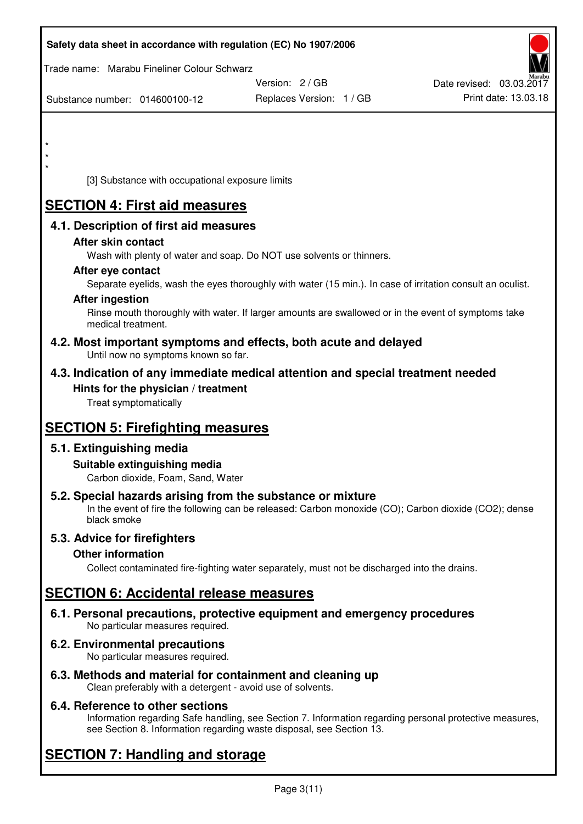|         | Safety data sheet in accordance with regulation (EC) No 1907/2006         |                                                                                                            |                          |
|---------|---------------------------------------------------------------------------|------------------------------------------------------------------------------------------------------------|--------------------------|
|         | Trade name: Marabu Fineliner Colour Schwarz                               |                                                                                                            |                          |
|         |                                                                           | Version: 2 / GB                                                                                            | Date revised: 03.03.2017 |
|         | Substance number: 014600100-12                                            | Replaces Version: 1 / GB                                                                                   | Print date: 13.03.18     |
|         |                                                                           |                                                                                                            |                          |
|         |                                                                           |                                                                                                            |                          |
| $\star$ |                                                                           |                                                                                                            |                          |
| $\star$ |                                                                           |                                                                                                            |                          |
|         | [3] Substance with occupational exposure limits                           |                                                                                                            |                          |
|         | <b>SECTION 4: First aid measures</b>                                      |                                                                                                            |                          |
|         | 4.1. Description of first aid measures                                    |                                                                                                            |                          |
|         | After skin contact                                                        |                                                                                                            |                          |
|         |                                                                           | Wash with plenty of water and soap. Do NOT use solvents or thinners.                                       |                          |
|         | After eye contact                                                         |                                                                                                            |                          |
|         | <b>After ingestion</b>                                                    | Separate eyelids, wash the eyes thoroughly with water (15 min.). In case of irritation consult an oculist. |                          |
|         |                                                                           | Rinse mouth thoroughly with water. If larger amounts are swallowed or in the event of symptoms take        |                          |
|         | medical treatment.                                                        |                                                                                                            |                          |
|         | Until now no symptoms known so far.                                       | 4.2. Most important symptoms and effects, both acute and delayed                                           |                          |
|         |                                                                           | 4.3. Indication of any immediate medical attention and special treatment needed                            |                          |
|         | Hints for the physician / treatment                                       |                                                                                                            |                          |
|         | Treat symptomatically                                                     |                                                                                                            |                          |
|         | <b>SECTION 5: Firefighting measures</b>                                   |                                                                                                            |                          |
|         | 5.1. Extinguishing media                                                  |                                                                                                            |                          |
|         | Suitable extinguishing media                                              |                                                                                                            |                          |
|         | Carbon dioxide, Foam, Sand, Water                                         |                                                                                                            |                          |
|         | 5.2. Special hazards arising from the substance or mixture<br>black smoke | In the event of fire the following can be released: Carbon monoxide (CO); Carbon dioxide (CO2); dense      |                          |
|         | 5.3. Advice for firefighters                                              |                                                                                                            |                          |
|         | <b>Other information</b>                                                  |                                                                                                            |                          |
|         |                                                                           | Collect contaminated fire-fighting water separately, must not be discharged into the drains.               |                          |
|         | <b>SECTION 6: Accidental release measures</b>                             |                                                                                                            |                          |
|         | No particular measures required.                                          | 6.1. Personal precautions, protective equipment and emergency procedures                                   |                          |
|         | 6.2. Environmental precautions<br>No particular measures required.        |                                                                                                            |                          |
|         | 6.3. Methods and material for containment and cleaning up                 |                                                                                                            |                          |
|         | Clean preferably with a detergent - avoid use of solvents.                |                                                                                                            |                          |

## **6.4. Reference to other sections**

Information regarding Safe handling, see Section 7. Information regarding personal protective measures, see Section 8. Information regarding waste disposal, see Section 13.

# **SECTION 7: Handling and storage**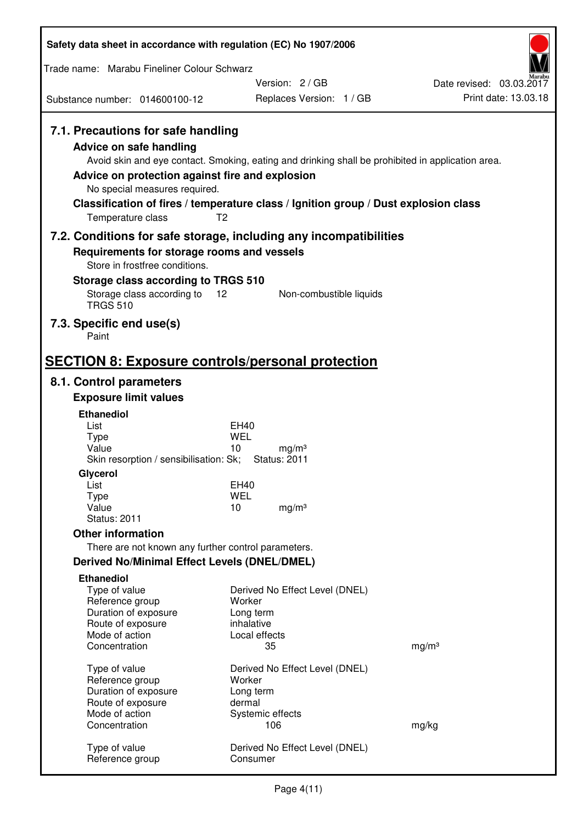| Safety data sheet in accordance with regulation (EC) No 1907/2006                                                                                                             |                                                                                                                                                                                                            |                          |
|-------------------------------------------------------------------------------------------------------------------------------------------------------------------------------|------------------------------------------------------------------------------------------------------------------------------------------------------------------------------------------------------------|--------------------------|
| Trade name: Marabu Fineliner Colour Schwarz                                                                                                                                   |                                                                                                                                                                                                            |                          |
|                                                                                                                                                                               | Version: 2/GB                                                                                                                                                                                              | Date revised: 03.03.2017 |
| Substance number: 014600100-12                                                                                                                                                | Replaces Version: 1 / GB                                                                                                                                                                                   | Print date: 13.03.18     |
| 7.1. Precautions for safe handling<br><b>Advice on safe handling</b><br>Advice on protection against fire and explosion<br>No special measures required.<br>Temperature class | Avoid skin and eye contact. Smoking, eating and drinking shall be prohibited in application area.<br>Classification of fires / temperature class / Ignition group / Dust explosion class<br>T <sub>2</sub> |                          |
|                                                                                                                                                                               | 7.2. Conditions for safe storage, including any incompatibilities                                                                                                                                          |                          |
| Requirements for storage rooms and vessels                                                                                                                                    |                                                                                                                                                                                                            |                          |
| Store in frostfree conditions.<br><b>Storage class according to TRGS 510</b>                                                                                                  |                                                                                                                                                                                                            |                          |
| Storage class according to                                                                                                                                                    | 12<br>Non-combustible liquids                                                                                                                                                                              |                          |
| <b>TRGS 510</b>                                                                                                                                                               |                                                                                                                                                                                                            |                          |
| 7.3. Specific end use(s)<br>Paint                                                                                                                                             |                                                                                                                                                                                                            |                          |
|                                                                                                                                                                               | <b>SECTION 8: Exposure controls/personal protection</b>                                                                                                                                                    |                          |
| 8.1. Control parameters                                                                                                                                                       |                                                                                                                                                                                                            |                          |
| <b>Exposure limit values</b>                                                                                                                                                  |                                                                                                                                                                                                            |                          |
| <b>Ethanediol</b>                                                                                                                                                             |                                                                                                                                                                                                            |                          |
| List<br><b>Type</b>                                                                                                                                                           | EH40<br><b>WEL</b>                                                                                                                                                                                         |                          |
| Value                                                                                                                                                                         | 10<br>mg/m <sup>3</sup>                                                                                                                                                                                    |                          |
| Skin resorption / sensibilisation: Sk;<br>Glycerol                                                                                                                            | <b>Status: 2011</b>                                                                                                                                                                                        |                          |
| List                                                                                                                                                                          | <b>EH40</b>                                                                                                                                                                                                |                          |
| <b>Type</b><br>Value                                                                                                                                                          | <b>WEL</b><br>10<br>mg/m <sup>3</sup>                                                                                                                                                                      |                          |
| <b>Status: 2011</b>                                                                                                                                                           |                                                                                                                                                                                                            |                          |
| <b>Other information</b>                                                                                                                                                      |                                                                                                                                                                                                            |                          |
| There are not known any further control parameters.                                                                                                                           |                                                                                                                                                                                                            |                          |
| <b>Derived No/Minimal Effect Levels (DNEL/DMEL)</b>                                                                                                                           |                                                                                                                                                                                                            |                          |
| <b>Ethanediol</b>                                                                                                                                                             |                                                                                                                                                                                                            |                          |
| Type of value<br>Reference group                                                                                                                                              | Derived No Effect Level (DNEL)<br>Worker                                                                                                                                                                   |                          |
| Duration of exposure                                                                                                                                                          | Long term                                                                                                                                                                                                  |                          |
| Route of exposure<br>Mode of action                                                                                                                                           | inhalative<br>Local effects                                                                                                                                                                                |                          |
| Concentration                                                                                                                                                                 | 35                                                                                                                                                                                                         | mg/m <sup>3</sup>        |
|                                                                                                                                                                               |                                                                                                                                                                                                            |                          |
| Type of value<br>Reference group                                                                                                                                              | Derived No Effect Level (DNEL)<br>Worker                                                                                                                                                                   |                          |
| Duration of exposure                                                                                                                                                          | Long term                                                                                                                                                                                                  |                          |
| Route of exposure<br>Mode of action                                                                                                                                           | dermal<br>Systemic effects                                                                                                                                                                                 |                          |
| Concentration                                                                                                                                                                 | 106                                                                                                                                                                                                        | mg/kg                    |
| Type of value                                                                                                                                                                 | Derived No Effect Level (DNEL)                                                                                                                                                                             |                          |
| Reference group                                                                                                                                                               | Consumer                                                                                                                                                                                                   |                          |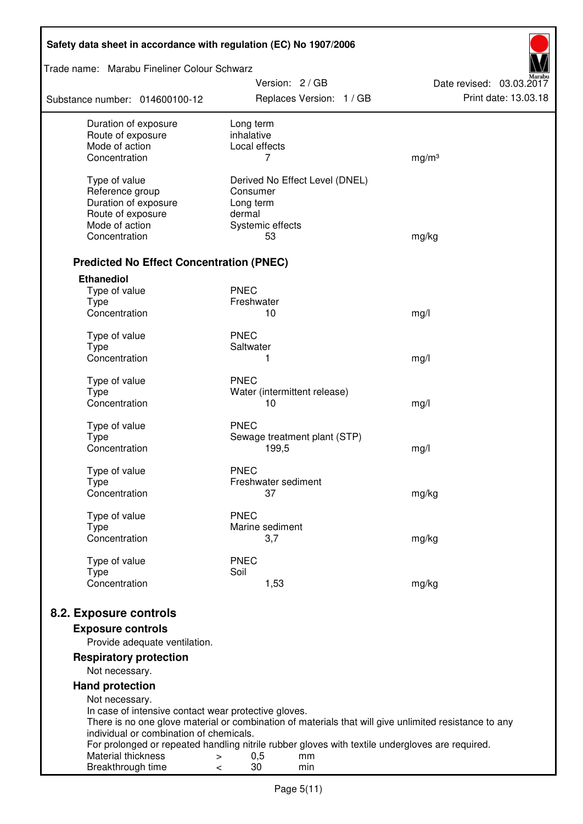| Safety data sheet in accordance with regulation (EC) No 1907/2006                                                                                                                                        |                                                                                                                                                                                                                                    |                                                  |
|----------------------------------------------------------------------------------------------------------------------------------------------------------------------------------------------------------|------------------------------------------------------------------------------------------------------------------------------------------------------------------------------------------------------------------------------------|--------------------------------------------------|
| Trade name: Marabu Fineliner Colour Schwarz                                                                                                                                                              |                                                                                                                                                                                                                                    |                                                  |
| Substance number: 014600100-12                                                                                                                                                                           | Version: 2/GB<br>Replaces Version: 1 / GB                                                                                                                                                                                          | Date revised: 03.03.2017<br>Print date: 13.03.18 |
| Duration of exposure<br>Route of exposure<br>Mode of action<br>Concentration                                                                                                                             | Long term<br>inhalative<br>Local effects<br>7                                                                                                                                                                                      | mg/m <sup>3</sup>                                |
| Type of value<br>Reference group<br>Duration of exposure<br>Route of exposure<br>Mode of action<br>Concentration                                                                                         | Derived No Effect Level (DNEL)<br>Consumer<br>Long term<br>dermal<br>Systemic effects<br>53                                                                                                                                        | mg/kg                                            |
| <b>Predicted No Effect Concentration (PNEC)</b>                                                                                                                                                          |                                                                                                                                                                                                                                    |                                                  |
| <b>Ethanediol</b><br>Type of value<br><b>Type</b><br>Concentration                                                                                                                                       | <b>PNEC</b><br>Freshwater<br>10                                                                                                                                                                                                    | mg/l                                             |
| Type of value<br><b>Type</b><br>Concentration                                                                                                                                                            | <b>PNEC</b><br>Saltwater<br>1                                                                                                                                                                                                      | mg/l                                             |
| Type of value<br><b>Type</b><br>Concentration                                                                                                                                                            | <b>PNEC</b><br>Water (intermittent release)<br>10                                                                                                                                                                                  | mg/l                                             |
| Type of value<br><b>Type</b><br>Concentration                                                                                                                                                            | <b>PNEC</b><br>Sewage treatment plant (STP)<br>199,5                                                                                                                                                                               | mg/l                                             |
| Type of value<br><b>Type</b><br>Concentration                                                                                                                                                            | <b>PNEC</b><br>Freshwater sediment<br>37                                                                                                                                                                                           | mg/kg                                            |
| Type of value<br>Type<br>Concentration                                                                                                                                                                   | <b>PNEC</b><br>Marine sediment<br>3,7                                                                                                                                                                                              | mg/kg                                            |
| Type of value<br><b>Type</b><br>Concentration                                                                                                                                                            | <b>PNEC</b><br>Soil<br>1,53                                                                                                                                                                                                        | mg/kg                                            |
| 8.2. Exposure controls<br><b>Exposure controls</b><br>Provide adequate ventilation.                                                                                                                      |                                                                                                                                                                                                                                    |                                                  |
| <b>Respiratory protection</b><br>Not necessary.                                                                                                                                                          |                                                                                                                                                                                                                                    |                                                  |
| <b>Hand protection</b><br>Not necessary.<br>In case of intensive contact wear protective gloves.<br>individual or combination of chemicals.<br>Material thickness<br>$\, > \,$<br>Breakthrough time<br>< | There is no one glove material or combination of materials that will give unlimited resistance to any<br>For prolonged or repeated handling nitrile rubber gloves with textile undergloves are required.<br>0,5<br>mm<br>30<br>min |                                                  |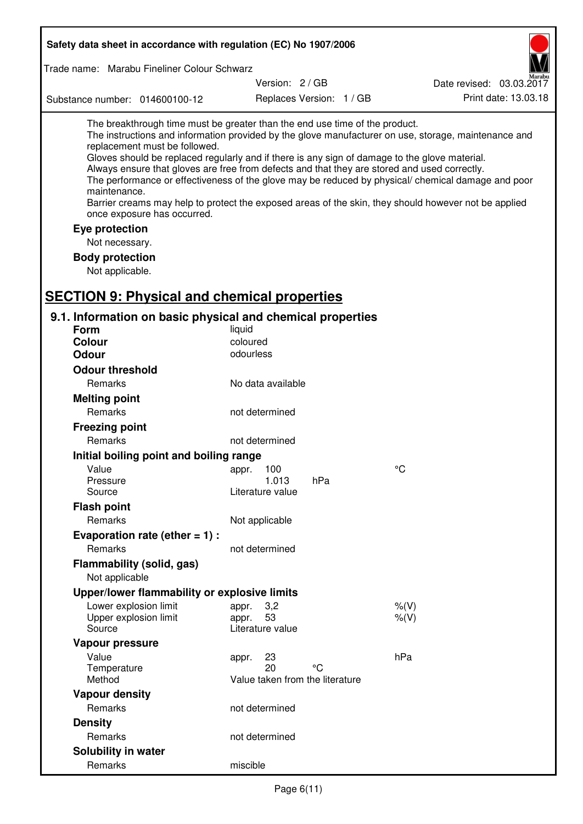| Safety data sheet in accordance with regulation (EC) No 1907/2006                                                                                                                                                                                                                                                                                            |                                 |                          |                                                                                                                                                                                                                                                                                                                    |
|--------------------------------------------------------------------------------------------------------------------------------------------------------------------------------------------------------------------------------------------------------------------------------------------------------------------------------------------------------------|---------------------------------|--------------------------|--------------------------------------------------------------------------------------------------------------------------------------------------------------------------------------------------------------------------------------------------------------------------------------------------------------------|
| Trade name: Marabu Fineliner Colour Schwarz                                                                                                                                                                                                                                                                                                                  |                                 |                          |                                                                                                                                                                                                                                                                                                                    |
|                                                                                                                                                                                                                                                                                                                                                              | Version: 2/GB                   |                          | Date revised: 03.03.2017                                                                                                                                                                                                                                                                                           |
| Substance number: 014600100-12                                                                                                                                                                                                                                                                                                                               |                                 | Replaces Version: 1 / GB | Print date: 13.03.18                                                                                                                                                                                                                                                                                               |
| The breakthrough time must be greater than the end use time of the product.<br>replacement must be followed.<br>Gloves should be replaced regularly and if there is any sign of damage to the glove material.<br>Always ensure that gloves are free from defects and that they are stored and used correctly.<br>maintenance.<br>once exposure has occurred. |                                 |                          | The instructions and information provided by the glove manufacturer on use, storage, maintenance and<br>The performance or effectiveness of the glove may be reduced by physical/ chemical damage and poor<br>Barrier creams may help to protect the exposed areas of the skin, they should however not be applied |
| Eye protection                                                                                                                                                                                                                                                                                                                                               |                                 |                          |                                                                                                                                                                                                                                                                                                                    |
| Not necessary.                                                                                                                                                                                                                                                                                                                                               |                                 |                          |                                                                                                                                                                                                                                                                                                                    |
| <b>Body protection</b>                                                                                                                                                                                                                                                                                                                                       |                                 |                          |                                                                                                                                                                                                                                                                                                                    |
| Not applicable.                                                                                                                                                                                                                                                                                                                                              |                                 |                          |                                                                                                                                                                                                                                                                                                                    |
| <b>SECTION 9: Physical and chemical properties</b>                                                                                                                                                                                                                                                                                                           |                                 |                          |                                                                                                                                                                                                                                                                                                                    |
|                                                                                                                                                                                                                                                                                                                                                              |                                 |                          |                                                                                                                                                                                                                                                                                                                    |
| 9.1. Information on basic physical and chemical properties<br>Form                                                                                                                                                                                                                                                                                           | liquid                          |                          |                                                                                                                                                                                                                                                                                                                    |
| <b>Colour</b>                                                                                                                                                                                                                                                                                                                                                | coloured                        |                          |                                                                                                                                                                                                                                                                                                                    |
| <b>Odour</b>                                                                                                                                                                                                                                                                                                                                                 | odourless                       |                          |                                                                                                                                                                                                                                                                                                                    |
| <b>Odour threshold</b>                                                                                                                                                                                                                                                                                                                                       |                                 |                          |                                                                                                                                                                                                                                                                                                                    |
| Remarks                                                                                                                                                                                                                                                                                                                                                      | No data available               |                          |                                                                                                                                                                                                                                                                                                                    |
| <b>Melting point</b>                                                                                                                                                                                                                                                                                                                                         |                                 |                          |                                                                                                                                                                                                                                                                                                                    |
| Remarks                                                                                                                                                                                                                                                                                                                                                      | not determined                  |                          |                                                                                                                                                                                                                                                                                                                    |
| <b>Freezing point</b>                                                                                                                                                                                                                                                                                                                                        |                                 |                          |                                                                                                                                                                                                                                                                                                                    |
| Remarks                                                                                                                                                                                                                                                                                                                                                      | not determined                  |                          |                                                                                                                                                                                                                                                                                                                    |
| Initial boiling point and boiling range                                                                                                                                                                                                                                                                                                                      |                                 |                          |                                                                                                                                                                                                                                                                                                                    |
| Value                                                                                                                                                                                                                                                                                                                                                        | appr. 100                       |                          | $\rm ^{\circ}C$                                                                                                                                                                                                                                                                                                    |
| Pressure                                                                                                                                                                                                                                                                                                                                                     | 1.013                           | hPa                      |                                                                                                                                                                                                                                                                                                                    |
| Source                                                                                                                                                                                                                                                                                                                                                       | Literature value                |                          |                                                                                                                                                                                                                                                                                                                    |
| <b>Flash point</b>                                                                                                                                                                                                                                                                                                                                           |                                 |                          |                                                                                                                                                                                                                                                                                                                    |
| Remarks                                                                                                                                                                                                                                                                                                                                                      | Not applicable                  |                          |                                                                                                                                                                                                                                                                                                                    |
| Evaporation rate (ether $= 1$ ) :                                                                                                                                                                                                                                                                                                                            |                                 |                          |                                                                                                                                                                                                                                                                                                                    |
| Remarks                                                                                                                                                                                                                                                                                                                                                      | not determined                  |                          |                                                                                                                                                                                                                                                                                                                    |
| Flammability (solid, gas)<br>Not applicable                                                                                                                                                                                                                                                                                                                  |                                 |                          |                                                                                                                                                                                                                                                                                                                    |
| Upper/lower flammability or explosive limits                                                                                                                                                                                                                                                                                                                 |                                 |                          |                                                                                                                                                                                                                                                                                                                    |
| Lower explosion limit                                                                                                                                                                                                                                                                                                                                        | 3,2<br>appr.                    |                          | % (V)                                                                                                                                                                                                                                                                                                              |
| Upper explosion limit                                                                                                                                                                                                                                                                                                                                        | 53<br>appr.                     |                          | % (V)                                                                                                                                                                                                                                                                                                              |
| Source                                                                                                                                                                                                                                                                                                                                                       | Literature value                |                          |                                                                                                                                                                                                                                                                                                                    |
| Vapour pressure                                                                                                                                                                                                                                                                                                                                              |                                 |                          |                                                                                                                                                                                                                                                                                                                    |
| Value                                                                                                                                                                                                                                                                                                                                                        | 23<br>appr.<br>20               | °۲                       | hPa                                                                                                                                                                                                                                                                                                                |
| Temperature<br>Method                                                                                                                                                                                                                                                                                                                                        | Value taken from the literature |                          |                                                                                                                                                                                                                                                                                                                    |
| <b>Vapour density</b>                                                                                                                                                                                                                                                                                                                                        |                                 |                          |                                                                                                                                                                                                                                                                                                                    |
| Remarks                                                                                                                                                                                                                                                                                                                                                      | not determined                  |                          |                                                                                                                                                                                                                                                                                                                    |
| <b>Density</b>                                                                                                                                                                                                                                                                                                                                               |                                 |                          |                                                                                                                                                                                                                                                                                                                    |
| Remarks                                                                                                                                                                                                                                                                                                                                                      | not determined                  |                          |                                                                                                                                                                                                                                                                                                                    |
| Solubility in water                                                                                                                                                                                                                                                                                                                                          |                                 |                          |                                                                                                                                                                                                                                                                                                                    |
| Remarks                                                                                                                                                                                                                                                                                                                                                      | miscible                        |                          |                                                                                                                                                                                                                                                                                                                    |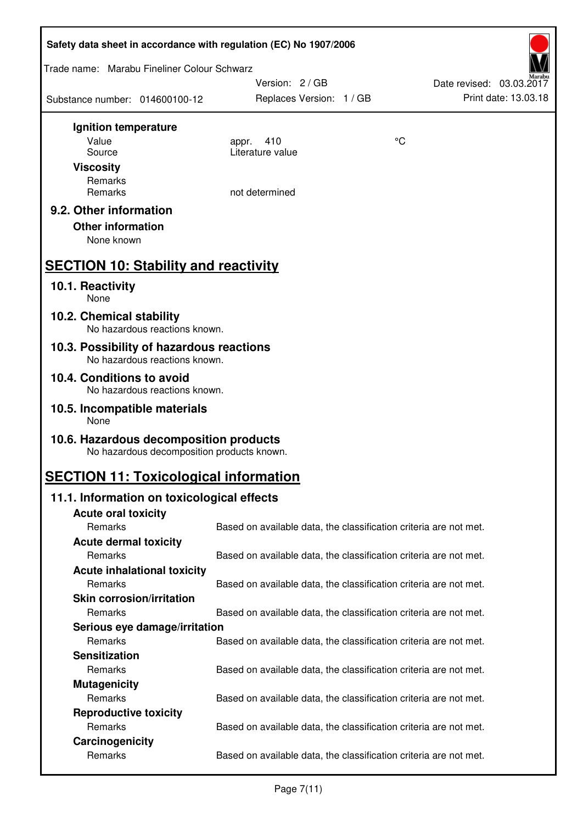| Safety data sheet in accordance with regulation (EC) No 1907/2006                    |                                                                   |    |                                                  |
|--------------------------------------------------------------------------------------|-------------------------------------------------------------------|----|--------------------------------------------------|
| Trade name: Marabu Fineliner Colour Schwarz                                          |                                                                   |    |                                                  |
| Substance number: 014600100-12                                                       | Version: 2/GB<br>Replaces Version: 1 / GB                         |    | Date revised: 03.03.2017<br>Print date: 13.03.18 |
|                                                                                      |                                                                   |    |                                                  |
| Ignition temperature<br>Value                                                        |                                                                   | °C |                                                  |
| Source                                                                               | 410<br>appr.<br>Literature value                                  |    |                                                  |
| <b>Viscosity</b>                                                                     |                                                                   |    |                                                  |
| Remarks                                                                              |                                                                   |    |                                                  |
| Remarks                                                                              | not determined                                                    |    |                                                  |
| 9.2. Other information                                                               |                                                                   |    |                                                  |
| <b>Other information</b>                                                             |                                                                   |    |                                                  |
| None known                                                                           |                                                                   |    |                                                  |
|                                                                                      |                                                                   |    |                                                  |
| <b>SECTION 10: Stability and reactivity</b>                                          |                                                                   |    |                                                  |
| 10.1. Reactivity<br>None                                                             |                                                                   |    |                                                  |
| 10.2. Chemical stability<br>No hazardous reactions known.                            |                                                                   |    |                                                  |
| 10.3. Possibility of hazardous reactions<br>No hazardous reactions known.            |                                                                   |    |                                                  |
| 10.4. Conditions to avoid                                                            |                                                                   |    |                                                  |
| No hazardous reactions known.                                                        |                                                                   |    |                                                  |
| 10.5. Incompatible materials<br>None                                                 |                                                                   |    |                                                  |
| 10.6. Hazardous decomposition products<br>No hazardous decomposition products known. |                                                                   |    |                                                  |
| <b>SECTION 11: Toxicological information</b>                                         |                                                                   |    |                                                  |
| 11.1. Information on toxicological effects                                           |                                                                   |    |                                                  |
| <b>Acute oral toxicity</b>                                                           |                                                                   |    |                                                  |
| Remarks                                                                              | Based on available data, the classification criteria are not met. |    |                                                  |
| <b>Acute dermal toxicity</b>                                                         |                                                                   |    |                                                  |
| Remarks                                                                              | Based on available data, the classification criteria are not met. |    |                                                  |
| <b>Acute inhalational toxicity</b>                                                   |                                                                   |    |                                                  |
| Remarks                                                                              | Based on available data, the classification criteria are not met. |    |                                                  |
| <b>Skin corrosion/irritation</b>                                                     |                                                                   |    |                                                  |
| Remarks                                                                              | Based on available data, the classification criteria are not met. |    |                                                  |
| Serious eye damage/irritation                                                        |                                                                   |    |                                                  |
| Remarks                                                                              | Based on available data, the classification criteria are not met. |    |                                                  |
| <b>Sensitization</b>                                                                 |                                                                   |    |                                                  |
| Remarks                                                                              | Based on available data, the classification criteria are not met. |    |                                                  |
| <b>Mutagenicity</b>                                                                  |                                                                   |    |                                                  |
| Remarks                                                                              | Based on available data, the classification criteria are not met. |    |                                                  |
| <b>Reproductive toxicity</b>                                                         |                                                                   |    |                                                  |
| Remarks                                                                              | Based on available data, the classification criteria are not met. |    |                                                  |
| Carcinogenicity                                                                      |                                                                   |    |                                                  |
| Remarks                                                                              | Based on available data, the classification criteria are not met. |    |                                                  |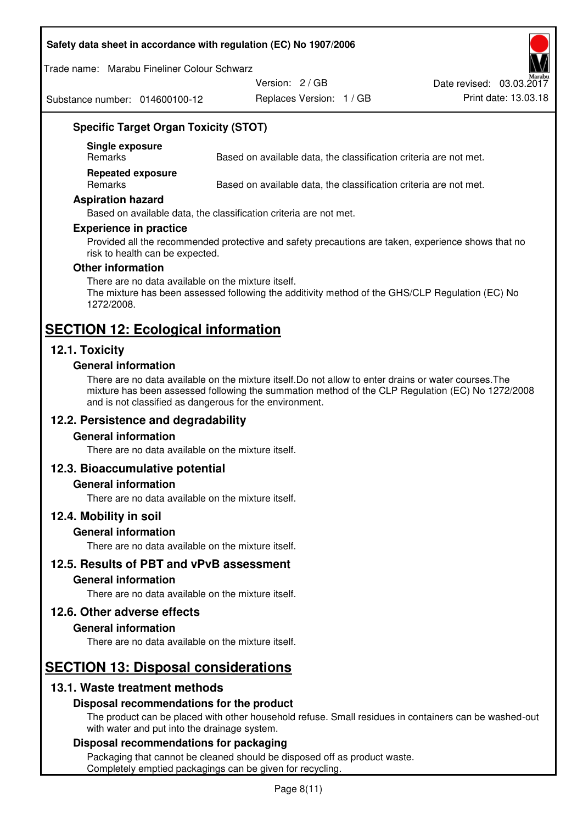#### **Safety data sheet in accordance with regulation (EC) No 1907/2006**

Trade name: Marabu Fineliner Colour Schwarz

Substance number: 014600100-12

Version: 2 / GB

Replaces Version: 1 / GB Print date: 13.03.18 Date revised: 03.03.2017

## **Specific Target Organ Toxicity (STOT)**

**Single exposure** 

Based on available data, the classification criteria are not met.

**Repeated exposure** 

Remarks Based on available data, the classification criteria are not met.

#### **Aspiration hazard**

Based on available data, the classification criteria are not met.

#### **Experience in practice**

Provided all the recommended protective and safety precautions are taken, experience shows that no risk to health can be expected.

#### **Other information**

There are no data available on the mixture itself. The mixture has been assessed following the additivity method of the GHS/CLP Regulation (EC) No 1272/2008.

## **SECTION 12: Ecological information**

## **12.1. Toxicity**

#### **General information**

There are no data available on the mixture itself.Do not allow to enter drains or water courses.The mixture has been assessed following the summation method of the CLP Regulation (EC) No 1272/2008 and is not classified as dangerous for the environment.

## **12.2. Persistence and degradability**

#### **General information**

There are no data available on the mixture itself.

#### **12.3. Bioaccumulative potential**

#### **General information**

There are no data available on the mixture itself.

#### **12.4. Mobility in soil**

#### **General information**

There are no data available on the mixture itself.

**12.5. Results of PBT and vPvB assessment** 

#### **General information**

There are no data available on the mixture itself.

#### **12.6. Other adverse effects**

#### **General information**

There are no data available on the mixture itself.

# **SECTION 13: Disposal considerations**

## **13.1. Waste treatment methods**

#### **Disposal recommendations for the product**

The product can be placed with other household refuse. Small residues in containers can be washed-out with water and put into the drainage system.

#### **Disposal recommendations for packaging**

Packaging that cannot be cleaned should be disposed off as product waste. Completely emptied packagings can be given for recycling.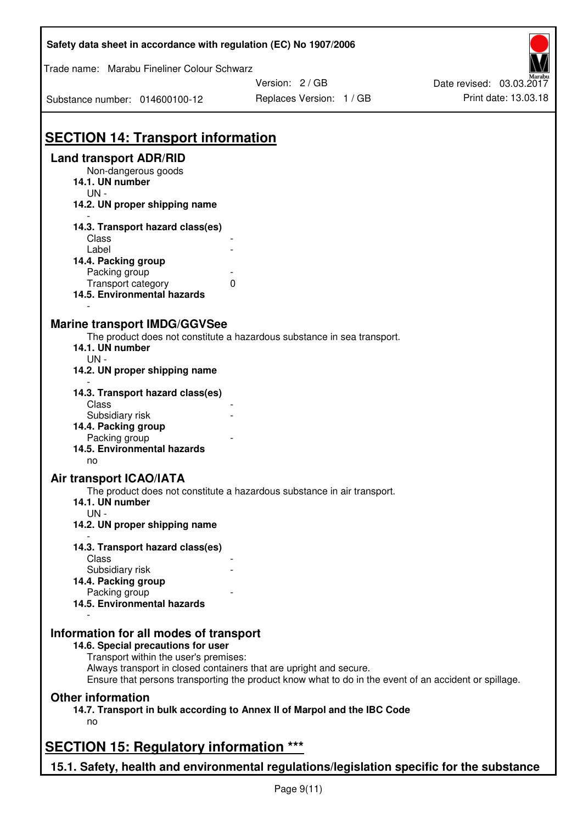| Safety data sheet in accordance with regulation (EC) No 1907/2006           |                                                                                                                                                                             |                                                  |
|-----------------------------------------------------------------------------|-----------------------------------------------------------------------------------------------------------------------------------------------------------------------------|--------------------------------------------------|
| Trade name: Marabu Fineliner Colour Schwarz                                 | Version: 2 / GB                                                                                                                                                             |                                                  |
| Substance number: 014600100-12                                              | Replaces Version: 1 / GB                                                                                                                                                    | Date revised: 03.03.2017<br>Print date: 13.03.18 |
| <b>SECTION 14: Transport information</b>                                    |                                                                                                                                                                             |                                                  |
| <b>Land transport ADR/RID</b><br>Non-dangerous goods<br>14.1. UN number     |                                                                                                                                                                             |                                                  |
| $UN -$<br>14.2. UN proper shipping name                                     |                                                                                                                                                                             |                                                  |
| 14.3. Transport hazard class(es)                                            |                                                                                                                                                                             |                                                  |
| Class<br>Label                                                              |                                                                                                                                                                             |                                                  |
| 14.4. Packing group<br>Packing group                                        |                                                                                                                                                                             |                                                  |
| Transport category<br>14.5. Environmental hazards                           | 0                                                                                                                                                                           |                                                  |
| <b>Marine transport IMDG/GGVSee</b>                                         |                                                                                                                                                                             |                                                  |
| 14.1. UN number<br>$UN -$                                                   | The product does not constitute a hazardous substance in sea transport.                                                                                                     |                                                  |
| 14.2. UN proper shipping name                                               |                                                                                                                                                                             |                                                  |
| 14.3. Transport hazard class(es)<br>Class                                   |                                                                                                                                                                             |                                                  |
| Subsidiary risk<br>14.4. Packing group                                      |                                                                                                                                                                             |                                                  |
| Packing group<br>14.5. Environmental hazards<br>no                          |                                                                                                                                                                             |                                                  |
| <b>Air transport ICAO/IATA</b>                                              |                                                                                                                                                                             |                                                  |
| 14.1. UN number<br>UN-                                                      | The product does not constitute a hazardous substance in air transport.                                                                                                     |                                                  |
| 14.2. UN proper shipping name                                               |                                                                                                                                                                             |                                                  |
| 14.3. Transport hazard class(es)<br>Class                                   |                                                                                                                                                                             |                                                  |
| Subsidiary risk<br>14.4. Packing group                                      |                                                                                                                                                                             |                                                  |
| Packing group<br>14.5. Environmental hazards                                |                                                                                                                                                                             |                                                  |
| Information for all modes of transport                                      |                                                                                                                                                                             |                                                  |
| 14.6. Special precautions for user<br>Transport within the user's premises: |                                                                                                                                                                             |                                                  |
|                                                                             | Always transport in closed containers that are upright and secure.<br>Ensure that persons transporting the product know what to do in the event of an accident or spillage. |                                                  |
| <b>Other information</b>                                                    | 14.7. Transport in bulk according to Annex II of Marpol and the IBC Code                                                                                                    |                                                  |
| no                                                                          |                                                                                                                                                                             |                                                  |
| <b>SECTION 15: Regulatory information ***</b>                               |                                                                                                                                                                             |                                                  |
|                                                                             | 15.1. Safety, health and environmental regulations/legislation specific for the substance                                                                                   |                                                  |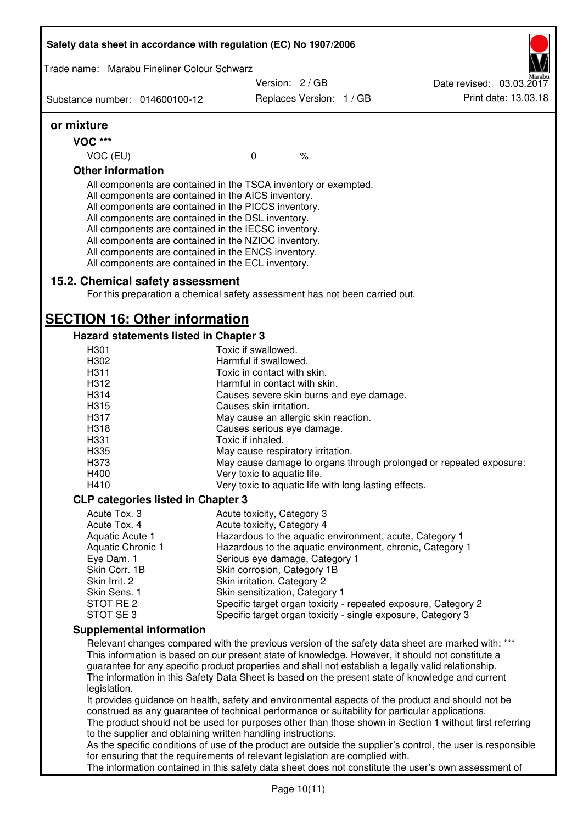| Safety data sheet in accordance with regulation (EC) No 1907/2006                                                                                                                                                                                                                                                                                                                                                                                                 |                                                       |                          |                                                                                                                                                                                                                                                                                                                 |
|-------------------------------------------------------------------------------------------------------------------------------------------------------------------------------------------------------------------------------------------------------------------------------------------------------------------------------------------------------------------------------------------------------------------------------------------------------------------|-------------------------------------------------------|--------------------------|-----------------------------------------------------------------------------------------------------------------------------------------------------------------------------------------------------------------------------------------------------------------------------------------------------------------|
| Trade name: Marabu Fineliner Colour Schwarz                                                                                                                                                                                                                                                                                                                                                                                                                       |                                                       |                          |                                                                                                                                                                                                                                                                                                                 |
|                                                                                                                                                                                                                                                                                                                                                                                                                                                                   | Version: 2/GB                                         |                          | Date revised: 03.03.2017                                                                                                                                                                                                                                                                                        |
| Substance number: 014600100-12                                                                                                                                                                                                                                                                                                                                                                                                                                    |                                                       | Replaces Version: 1 / GB | Print date: 13.03.18                                                                                                                                                                                                                                                                                            |
| or mixture                                                                                                                                                                                                                                                                                                                                                                                                                                                        |                                                       |                          |                                                                                                                                                                                                                                                                                                                 |
| <b>VOC ***</b>                                                                                                                                                                                                                                                                                                                                                                                                                                                    |                                                       |                          |                                                                                                                                                                                                                                                                                                                 |
| VOC (EU)                                                                                                                                                                                                                                                                                                                                                                                                                                                          | $\mathbf 0$                                           | $\%$                     |                                                                                                                                                                                                                                                                                                                 |
| <b>Other information</b>                                                                                                                                                                                                                                                                                                                                                                                                                                          |                                                       |                          |                                                                                                                                                                                                                                                                                                                 |
| All components are contained in the TSCA inventory or exempted.<br>All components are contained in the AICS inventory.<br>All components are contained in the PICCS inventory.<br>All components are contained in the DSL inventory.<br>All components are contained in the IECSC inventory.<br>All components are contained in the NZIOC inventory.<br>All components are contained in the ENCS inventory.<br>All components are contained in the ECL inventory. |                                                       |                          |                                                                                                                                                                                                                                                                                                                 |
| 15.2. Chemical safety assessment<br>For this preparation a chemical safety assessment has not been carried out.                                                                                                                                                                                                                                                                                                                                                   |                                                       |                          |                                                                                                                                                                                                                                                                                                                 |
| <b>SECTION 16: Other information</b>                                                                                                                                                                                                                                                                                                                                                                                                                              |                                                       |                          |                                                                                                                                                                                                                                                                                                                 |
| Hazard statements listed in Chapter 3                                                                                                                                                                                                                                                                                                                                                                                                                             |                                                       |                          |                                                                                                                                                                                                                                                                                                                 |
| H <sub>301</sub>                                                                                                                                                                                                                                                                                                                                                                                                                                                  | Toxic if swallowed.                                   |                          |                                                                                                                                                                                                                                                                                                                 |
| H302                                                                                                                                                                                                                                                                                                                                                                                                                                                              | Harmful if swallowed.                                 |                          |                                                                                                                                                                                                                                                                                                                 |
| H311                                                                                                                                                                                                                                                                                                                                                                                                                                                              | Toxic in contact with skin.                           |                          |                                                                                                                                                                                                                                                                                                                 |
| H312                                                                                                                                                                                                                                                                                                                                                                                                                                                              | Harmful in contact with skin.                         |                          |                                                                                                                                                                                                                                                                                                                 |
| H314                                                                                                                                                                                                                                                                                                                                                                                                                                                              | Causes severe skin burns and eye damage.              |                          |                                                                                                                                                                                                                                                                                                                 |
| H315                                                                                                                                                                                                                                                                                                                                                                                                                                                              | Causes skin irritation.                               |                          |                                                                                                                                                                                                                                                                                                                 |
| H317                                                                                                                                                                                                                                                                                                                                                                                                                                                              | May cause an allergic skin reaction.                  |                          |                                                                                                                                                                                                                                                                                                                 |
| H318                                                                                                                                                                                                                                                                                                                                                                                                                                                              | Causes serious eye damage.                            |                          |                                                                                                                                                                                                                                                                                                                 |
| H331                                                                                                                                                                                                                                                                                                                                                                                                                                                              | Toxic if inhaled.                                     |                          |                                                                                                                                                                                                                                                                                                                 |
| H335                                                                                                                                                                                                                                                                                                                                                                                                                                                              | May cause respiratory irritation.                     |                          |                                                                                                                                                                                                                                                                                                                 |
| H373                                                                                                                                                                                                                                                                                                                                                                                                                                                              |                                                       |                          | May cause damage to organs through prolonged or repeated exposure:                                                                                                                                                                                                                                              |
| H400                                                                                                                                                                                                                                                                                                                                                                                                                                                              | Very toxic to aquatic life.                           |                          |                                                                                                                                                                                                                                                                                                                 |
| H410<br><b>CLP categories listed in Chapter 3</b>                                                                                                                                                                                                                                                                                                                                                                                                                 | Very toxic to aquatic life with long lasting effects. |                          |                                                                                                                                                                                                                                                                                                                 |
| Acute Tox. 3                                                                                                                                                                                                                                                                                                                                                                                                                                                      | Acute toxicity, Category 3                            |                          |                                                                                                                                                                                                                                                                                                                 |
| Acute Tox. 4                                                                                                                                                                                                                                                                                                                                                                                                                                                      | Acute toxicity, Category 4                            |                          |                                                                                                                                                                                                                                                                                                                 |
| Aquatic Acute 1                                                                                                                                                                                                                                                                                                                                                                                                                                                   |                                                       |                          | Hazardous to the aquatic environment, acute, Category 1                                                                                                                                                                                                                                                         |
| Aquatic Chronic 1                                                                                                                                                                                                                                                                                                                                                                                                                                                 |                                                       |                          | Hazardous to the aquatic environment, chronic, Category 1                                                                                                                                                                                                                                                       |
| Eye Dam. 1                                                                                                                                                                                                                                                                                                                                                                                                                                                        | Serious eye damage, Category 1                        |                          |                                                                                                                                                                                                                                                                                                                 |
| Skin Corr. 1B                                                                                                                                                                                                                                                                                                                                                                                                                                                     | Skin corrosion, Category 1B                           |                          |                                                                                                                                                                                                                                                                                                                 |
| Skin Irrit. 2                                                                                                                                                                                                                                                                                                                                                                                                                                                     | Skin irritation, Category 2                           |                          |                                                                                                                                                                                                                                                                                                                 |
| Skin Sens. 1                                                                                                                                                                                                                                                                                                                                                                                                                                                      | Skin sensitization, Category 1                        |                          |                                                                                                                                                                                                                                                                                                                 |
| STOT RE 2                                                                                                                                                                                                                                                                                                                                                                                                                                                         |                                                       |                          | Specific target organ toxicity - repeated exposure, Category 2                                                                                                                                                                                                                                                  |
| STOT SE 3                                                                                                                                                                                                                                                                                                                                                                                                                                                         |                                                       |                          | Specific target organ toxicity - single exposure, Category 3                                                                                                                                                                                                                                                    |
| <b>Supplemental information</b>                                                                                                                                                                                                                                                                                                                                                                                                                                   |                                                       |                          |                                                                                                                                                                                                                                                                                                                 |
|                                                                                                                                                                                                                                                                                                                                                                                                                                                                   |                                                       |                          | Relevant changes compared with the previous version of the safety data sheet are marked with: ***<br>This information is based on our present state of knowledge. However, it should not constitute a<br>guarantee for any specific product properties and shall not establish a legally valid relationship.    |
| legislation.                                                                                                                                                                                                                                                                                                                                                                                                                                                      |                                                       |                          | The information in this Safety Data Sheet is based on the present state of knowledge and current                                                                                                                                                                                                                |
|                                                                                                                                                                                                                                                                                                                                                                                                                                                                   |                                                       |                          | It provides guidance on health, safety and environmental aspects of the product and should not be<br>construed as any guarantee of technical performance or suitability for particular applications.<br>The product should not be used for purposes other than those shown in Section 1 without first referring |
| to the supplier and obtaining written handling instructions.<br>for ensuring that the requirements of relevant legislation are complied with.                                                                                                                                                                                                                                                                                                                     |                                                       |                          | As the specific conditions of use of the product are outside the supplier's control, the user is responsible                                                                                                                                                                                                    |
|                                                                                                                                                                                                                                                                                                                                                                                                                                                                   |                                                       |                          | The information contained in this safety data sheet does not constitute the user's own assessment of                                                                                                                                                                                                            |